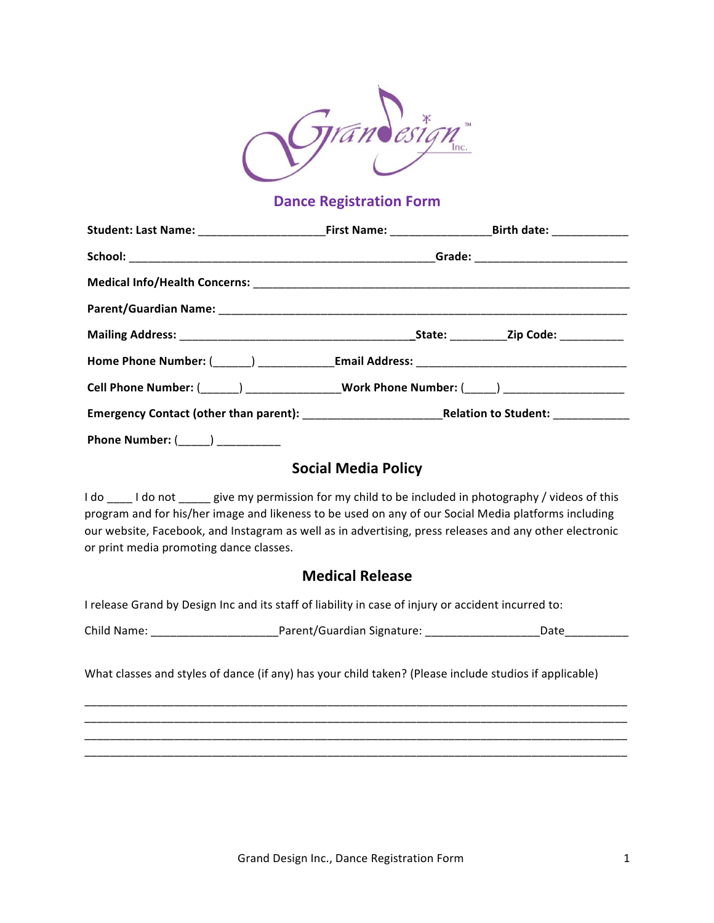

# **Dance Registration Form**

| Student: Last Name: ____________________________First Name: _____________________Birth date: ________________ |  |  |
|---------------------------------------------------------------------------------------------------------------|--|--|
|                                                                                                               |  |  |
|                                                                                                               |  |  |
|                                                                                                               |  |  |
|                                                                                                               |  |  |
|                                                                                                               |  |  |
| Cell Phone Number: (_____) ________________Work Phone Number: (____) ____________                             |  |  |
|                                                                                                               |  |  |
| Phone Number: (______) ___________                                                                            |  |  |

## **Social Media Policy**

I do \_\_\_\_ I do not \_\_\_\_\_ give my permission for my child to be included in photography / videos of this program and for his/her image and likeness to be used on any of our Social Media platforms including our website, Facebook, and Instagram as well as in advertising, press releases and any other electronic or print media promoting dance classes.

#### **Medical Release**

I release Grand by Design Inc and its staff of liability in case of injury or accident incurred to:

Child Name: \_\_\_\_\_\_\_\_\_\_\_\_\_\_\_\_\_\_\_\_Parent/Guardian Signature: \_\_\_\_\_\_\_\_\_\_\_\_\_\_\_\_\_\_Date\_\_\_\_\_\_\_\_\_\_

\_\_\_\_\_\_\_\_\_\_\_\_\_\_\_\_\_\_\_\_\_\_\_\_\_\_\_\_\_\_\_\_\_\_\_\_\_\_\_\_\_\_\_\_\_\_\_\_\_\_\_\_\_\_\_\_\_\_\_\_\_\_\_\_\_\_\_\_\_\_\_\_\_\_\_\_\_\_\_\_\_\_\_\_\_ \_\_\_\_\_\_\_\_\_\_\_\_\_\_\_\_\_\_\_\_\_\_\_\_\_\_\_\_\_\_\_\_\_\_\_\_\_\_\_\_\_\_\_\_\_\_\_\_\_\_\_\_\_\_\_\_\_\_\_\_\_\_\_\_\_\_\_\_\_\_\_\_\_\_\_\_\_\_\_\_\_\_\_\_\_ \_\_\_\_\_\_\_\_\_\_\_\_\_\_\_\_\_\_\_\_\_\_\_\_\_\_\_\_\_\_\_\_\_\_\_\_\_\_\_\_\_\_\_\_\_\_\_\_\_\_\_\_\_\_\_\_\_\_\_\_\_\_\_\_\_\_\_\_\_\_\_\_\_\_\_\_\_\_\_\_\_\_\_\_\_ \_\_\_\_\_\_\_\_\_\_\_\_\_\_\_\_\_\_\_\_\_\_\_\_\_\_\_\_\_\_\_\_\_\_\_\_\_\_\_\_\_\_\_\_\_\_\_\_\_\_\_\_\_\_\_\_\_\_\_\_\_\_\_\_\_\_\_\_\_\_\_\_\_\_\_\_\_\_\_\_\_\_\_\_\_

What classes and styles of dance (if any) has your child taken? (Please include studios if applicable)